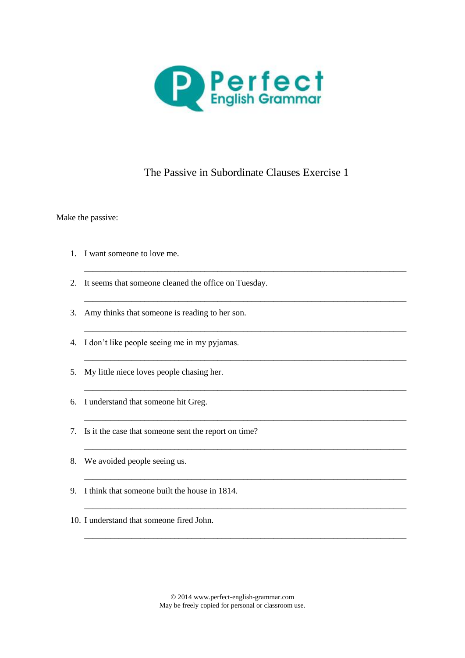

## The Passive in Subordinate Clauses Exercise 1

\_\_\_\_\_\_\_\_\_\_\_\_\_\_\_\_\_\_\_\_\_\_\_\_\_\_\_\_\_\_\_\_\_\_\_\_\_\_\_\_\_\_\_\_\_\_\_\_\_\_\_\_\_\_\_\_\_\_\_\_\_\_\_\_\_\_\_\_\_\_\_\_\_\_\_

\_\_\_\_\_\_\_\_\_\_\_\_\_\_\_\_\_\_\_\_\_\_\_\_\_\_\_\_\_\_\_\_\_\_\_\_\_\_\_\_\_\_\_\_\_\_\_\_\_\_\_\_\_\_\_\_\_\_\_\_\_\_\_\_\_\_\_\_\_\_\_\_\_\_\_

\_\_\_\_\_\_\_\_\_\_\_\_\_\_\_\_\_\_\_\_\_\_\_\_\_\_\_\_\_\_\_\_\_\_\_\_\_\_\_\_\_\_\_\_\_\_\_\_\_\_\_\_\_\_\_\_\_\_\_\_\_\_\_\_\_\_\_\_\_\_\_\_\_\_\_

\_\_\_\_\_\_\_\_\_\_\_\_\_\_\_\_\_\_\_\_\_\_\_\_\_\_\_\_\_\_\_\_\_\_\_\_\_\_\_\_\_\_\_\_\_\_\_\_\_\_\_\_\_\_\_\_\_\_\_\_\_\_\_\_\_\_\_\_\_\_\_\_\_\_\_

\_\_\_\_\_\_\_\_\_\_\_\_\_\_\_\_\_\_\_\_\_\_\_\_\_\_\_\_\_\_\_\_\_\_\_\_\_\_\_\_\_\_\_\_\_\_\_\_\_\_\_\_\_\_\_\_\_\_\_\_\_\_\_\_\_\_\_\_\_\_\_\_\_\_\_

\_\_\_\_\_\_\_\_\_\_\_\_\_\_\_\_\_\_\_\_\_\_\_\_\_\_\_\_\_\_\_\_\_\_\_\_\_\_\_\_\_\_\_\_\_\_\_\_\_\_\_\_\_\_\_\_\_\_\_\_\_\_\_\_\_\_\_\_\_\_\_\_\_\_\_

\_\_\_\_\_\_\_\_\_\_\_\_\_\_\_\_\_\_\_\_\_\_\_\_\_\_\_\_\_\_\_\_\_\_\_\_\_\_\_\_\_\_\_\_\_\_\_\_\_\_\_\_\_\_\_\_\_\_\_\_\_\_\_\_\_\_\_\_\_\_\_\_\_\_\_

\_\_\_\_\_\_\_\_\_\_\_\_\_\_\_\_\_\_\_\_\_\_\_\_\_\_\_\_\_\_\_\_\_\_\_\_\_\_\_\_\_\_\_\_\_\_\_\_\_\_\_\_\_\_\_\_\_\_\_\_\_\_\_\_\_\_\_\_\_\_\_\_\_\_\_

\_\_\_\_\_\_\_\_\_\_\_\_\_\_\_\_\_\_\_\_\_\_\_\_\_\_\_\_\_\_\_\_\_\_\_\_\_\_\_\_\_\_\_\_\_\_\_\_\_\_\_\_\_\_\_\_\_\_\_\_\_\_\_\_\_\_\_\_\_\_\_\_\_\_\_

\_\_\_\_\_\_\_\_\_\_\_\_\_\_\_\_\_\_\_\_\_\_\_\_\_\_\_\_\_\_\_\_\_\_\_\_\_\_\_\_\_\_\_\_\_\_\_\_\_\_\_\_\_\_\_\_\_\_\_\_\_\_\_\_\_\_\_\_\_\_\_\_\_\_\_

Make the passive:

- 1. I want someone to love me.
- 2. It seems that someone cleaned the office on Tuesday.
- 3. Amy thinks that someone is reading to her son.
- 4. I don't like people seeing me in my pyjamas.
- 5. My little niece loves people chasing her.
- 6. I understand that someone hit Greg.
- 7. Is it the case that someone sent the report on time?
- 8. We avoided people seeing us.
- 9. I think that someone built the house in 1814.
- 10. I understand that someone fired John.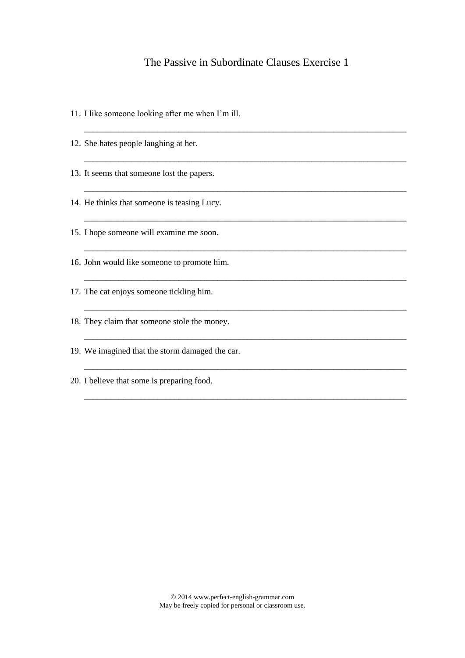## The Passive in Subordinate Clauses Exercise 1

\_\_\_\_\_\_\_\_\_\_\_\_\_\_\_\_\_\_\_\_\_\_\_\_\_\_\_\_\_\_\_\_\_\_\_\_\_\_\_\_\_\_\_\_\_\_\_\_\_\_\_\_\_\_\_\_\_\_\_\_\_\_\_\_\_\_\_\_\_\_\_\_\_\_\_

\_\_\_\_\_\_\_\_\_\_\_\_\_\_\_\_\_\_\_\_\_\_\_\_\_\_\_\_\_\_\_\_\_\_\_\_\_\_\_\_\_\_\_\_\_\_\_\_\_\_\_\_\_\_\_\_\_\_\_\_\_\_\_\_\_\_\_\_\_\_\_\_\_\_\_

\_\_\_\_\_\_\_\_\_\_\_\_\_\_\_\_\_\_\_\_\_\_\_\_\_\_\_\_\_\_\_\_\_\_\_\_\_\_\_\_\_\_\_\_\_\_\_\_\_\_\_\_\_\_\_\_\_\_\_\_\_\_\_\_\_\_\_\_\_\_\_\_\_\_\_

\_\_\_\_\_\_\_\_\_\_\_\_\_\_\_\_\_\_\_\_\_\_\_\_\_\_\_\_\_\_\_\_\_\_\_\_\_\_\_\_\_\_\_\_\_\_\_\_\_\_\_\_\_\_\_\_\_\_\_\_\_\_\_\_\_\_\_\_\_\_\_\_\_\_\_

\_\_\_\_\_\_\_\_\_\_\_\_\_\_\_\_\_\_\_\_\_\_\_\_\_\_\_\_\_\_\_\_\_\_\_\_\_\_\_\_\_\_\_\_\_\_\_\_\_\_\_\_\_\_\_\_\_\_\_\_\_\_\_\_\_\_\_\_\_\_\_\_\_\_\_

\_\_\_\_\_\_\_\_\_\_\_\_\_\_\_\_\_\_\_\_\_\_\_\_\_\_\_\_\_\_\_\_\_\_\_\_\_\_\_\_\_\_\_\_\_\_\_\_\_\_\_\_\_\_\_\_\_\_\_\_\_\_\_\_\_\_\_\_\_\_\_\_\_\_\_

\_\_\_\_\_\_\_\_\_\_\_\_\_\_\_\_\_\_\_\_\_\_\_\_\_\_\_\_\_\_\_\_\_\_\_\_\_\_\_\_\_\_\_\_\_\_\_\_\_\_\_\_\_\_\_\_\_\_\_\_\_\_\_\_\_\_\_\_\_\_\_\_\_\_\_

\_\_\_\_\_\_\_\_\_\_\_\_\_\_\_\_\_\_\_\_\_\_\_\_\_\_\_\_\_\_\_\_\_\_\_\_\_\_\_\_\_\_\_\_\_\_\_\_\_\_\_\_\_\_\_\_\_\_\_\_\_\_\_\_\_\_\_\_\_\_\_\_\_\_\_

\_\_\_\_\_\_\_\_\_\_\_\_\_\_\_\_\_\_\_\_\_\_\_\_\_\_\_\_\_\_\_\_\_\_\_\_\_\_\_\_\_\_\_\_\_\_\_\_\_\_\_\_\_\_\_\_\_\_\_\_\_\_\_\_\_\_\_\_\_\_\_\_\_\_\_

\_\_\_\_\_\_\_\_\_\_\_\_\_\_\_\_\_\_\_\_\_\_\_\_\_\_\_\_\_\_\_\_\_\_\_\_\_\_\_\_\_\_\_\_\_\_\_\_\_\_\_\_\_\_\_\_\_\_\_\_\_\_\_\_\_\_\_\_\_\_\_\_\_\_\_

- 11. I like someone looking after me when I'm ill.
- 12. She hates people laughing at her.
- 13. It seems that someone lost the papers.
- 14. He thinks that someone is teasing Lucy.
- 15. I hope someone will examine me soon.
- 16. John would like someone to promote him.
- 17. The cat enjoys someone tickling him.
- 18. They claim that someone stole the money.
- 19. We imagined that the storm damaged the car.
- 20. I believe that some is preparing food.